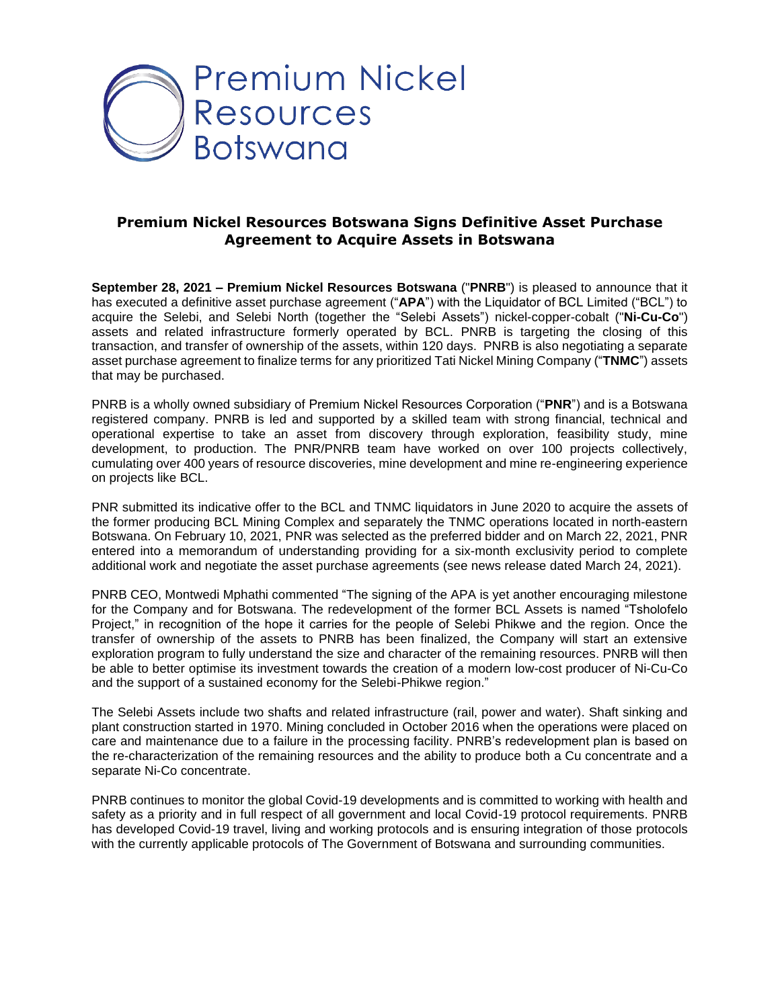

## **Premium Nickel Resources Botswana Signs Definitive Asset Purchase Agreement to Acquire Assets in Botswana**

**September 28, 2021 – Premium Nickel Resources Botswana** ("**PNRB**") is pleased to announce that it has executed a definitive asset purchase agreement ("**APA**") with the Liquidator of BCL Limited ("BCL") to acquire the Selebi, and Selebi North (together the "Selebi Assets") nickel-copper-cobalt ("**Ni-Cu-Co**") assets and related infrastructure formerly operated by BCL. PNRB is targeting the closing of this transaction, and transfer of ownership of the assets, within 120 days. PNRB is also negotiating a separate asset purchase agreement to finalize terms for any prioritized Tati Nickel Mining Company ("**TNMC**") assets that may be purchased.

PNRB is a wholly owned subsidiary of Premium Nickel Resources Corporation ("**PNR**") and is a Botswana registered company. PNRB is led and supported by a skilled team with strong financial, technical and operational expertise to take an asset from discovery through exploration, feasibility study, mine development, to production. The PNR/PNRB team have worked on over 100 projects collectively, cumulating over 400 years of resource discoveries, mine development and mine re-engineering experience on projects like BCL.

PNR submitted its indicative offer to the BCL and TNMC liquidators in June 2020 to acquire the assets of the former producing BCL Mining Complex and separately the TNMC operations located in north-eastern Botswana. On February 10, 2021, PNR was selected as the preferred bidder and on March 22, 2021, PNR entered into a memorandum of understanding providing for a six-month exclusivity period to complete additional work and negotiate the asset purchase agreements (see news release dated March 24, 2021).

PNRB CEO, Montwedi Mphathi commented "The signing of the APA is yet another encouraging milestone for the Company and for Botswana. The redevelopment of the former BCL Assets is named "Tsholofelo Project," in recognition of the hope it carries for the people of Selebi Phikwe and the region. Once the transfer of ownership of the assets to PNRB has been finalized, the Company will start an extensive exploration program to fully understand the size and character of the remaining resources. PNRB will then be able to better optimise its investment towards the creation of a modern low-cost producer of Ni-Cu-Co and the support of a sustained economy for the Selebi-Phikwe region."

The Selebi Assets include two shafts and related infrastructure (rail, power and water). Shaft sinking and plant construction started in 1970. Mining concluded in October 2016 when the operations were placed on care and maintenance due to a failure in the processing facility. PNRB's redevelopment plan is based on the re-characterization of the remaining resources and the ability to produce both a Cu concentrate and a separate Ni-Co concentrate.

PNRB continues to monitor the global Covid-19 developments and is committed to working with health and safety as a priority and in full respect of all government and local Covid-19 protocol requirements. PNRB has developed Covid-19 travel, living and working protocols and is ensuring integration of those protocols with the currently applicable protocols of The Government of Botswana and surrounding communities.